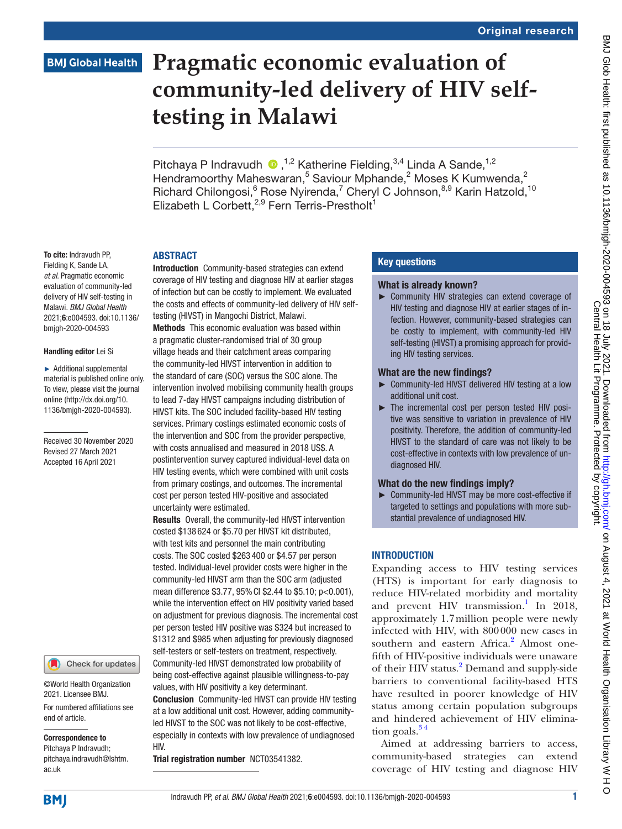# **BMJ Global Health**

# **Pragmatic economic evaluation of community-led delivery of HIV selftesting in Malawi**

PitchayaP Indravudh  $\bullet$ , <sup>1,2</sup> Katherine Fielding, <sup>3,4</sup> Linda A Sande, <sup>1,2</sup> Hendramoorthy Maheswaran,<sup>5</sup> Saviour Mphande,<sup>2</sup> Moses K Kumwenda,<sup>2</sup> Richard Chilongosi, <sup>6</sup> Rose Nyirenda, <sup>7</sup> Cheryl C Johnson, <sup>8,9</sup> Karin Hatzold, <sup>10</sup> Elizabeth L Corbett,<sup>2,9</sup> Fern Terris-Prestholt<sup>1</sup>

# **ARSTRACT**

To cite: Indravudh PP, Fielding K, Sande LA, *et al*. Pragmatic economic evaluation of community-led delivery of HIV self-testing in Malawi. *BMJ Global Health* 2021;6:e004593. doi:10.1136/ bmjgh-2020-004593

#### Handling editor Lei Si

► Additional supplemental material is published online only. To view, please visit the journal online (http://dx.doi.org/10. 1136/bmjgh-2020-004593).

Received 30 November 2020 Revised 27 March 2021 Accepted 16 April 2021

#### Check for updates

©World Health Organization 2021. Licensee BMJ.

For numbered affiliations see end of article.

#### Correspondence to

Pitchaya P Indravudh; pitchaya.indravudh@lshtm. ac.uk

Introduction Community-based strategies can extend coverage of HIV testing and diagnose HIV at earlier stages of infection but can be costly to implement. We evaluated the costs and effects of community-led delivery of HIV selftesting (HIVST) in Mangochi District, Malawi. Methods This economic evaluation was based within a pragmatic cluster-randomised trial of 30 group village heads and their catchment areas comparing the community-led HIVST intervention in addition to the standard of care (SOC) versus the SOC alone. The intervention involved mobilising community health groups to lead 7-day HIVST campaigns including distribution of HIVST kits. The SOC included facility-based HIV testing services. Primary costings estimated economic costs of the intervention and SOC from the provider perspective, with costs annualised and measured in 2018 US\$. A postintervention survey captured individual-level data on HIV testing events, which were combined with unit costs from primary costings, and outcomes. The incremental cost per person tested HIV-positive and associated uncertainty were estimated.

Results Overall, the community-led HIVST intervention costed \$138 624 or \$5.70 per HIVST kit distributed, with test kits and personnel the main contributing costs. The SOC costed \$263 400 or \$4.57 per person tested. Individual-level provider costs were higher in the community-led HIVST arm than the SOC arm (adjusted mean difference \$3.77, 95% CI \$2.44 to \$5.10; p<0.001), while the intervention effect on HIV positivity varied based on adjustment for previous diagnosis. The incremental cost per person tested HIV positive was \$324 but increased to \$1312 and \$985 when adjusting for previously diagnosed self-testers or self-testers on treatment, respectively. Community-led HIVST demonstrated low probability of being cost-effective against plausible willingness-to-pay values, with HIV positivity a key determinant.

Conclusion Community-led HIVST can provide HIV testing at a low additional unit cost. However, adding communityled HIVST to the SOC was not likely to be cost-effective, especially in contexts with low prevalence of undiagnosed HIV.

Trial registration number [NCT03541382.](NCT03541382)

# Key questions

## What is already known?

► Community HIV strategies can extend coverage of HIV testing and diagnose HIV at earlier stages of infection. However, community-based strategies can be costly to implement, with community-led HIV self-testing (HIVST) a promising approach for providing HIV testing services.

## What are the new findings?

- ► Community-led HIVST delivered HIV testing at a low additional unit cost.
- ► The incremental cost per person tested HIV positive was sensitive to variation in prevalence of HIV positivity. Therefore, the addition of community-led HIVST to the standard of care was not likely to be cost-effective in contexts with low prevalence of undiagnosed HIV.

# What do the new findings imply?

► Community-led HIVST may be more cost-effective if targeted to settings and populations with more substantial prevalence of undiagnosed HIV.

# **INTRODUCTION**

Expanding access to HIV testing services (HTS) is important for early diagnosis to reduce HIV-related morbidity and mortality and prevent HIV transmission.<sup>[1](#page-9-0)</sup> In 2018, approximately 1.7million people were newly infected with HIV, with 800000 new cases in southern and eastern Africa.<sup>2</sup> Almost onefifth of HIV-positive individuals were unaware of their HIV status.<sup>2</sup> Demand and supply-side barriers to conventional facility-based HTS have resulted in poorer knowledge of HIV status among certain population subgroups and hindered achievement of HIV elimination goals. $34$ 

Aimed at addressing barriers to access, community-based strategies can extend coverage of HIV testing and diagnose HIV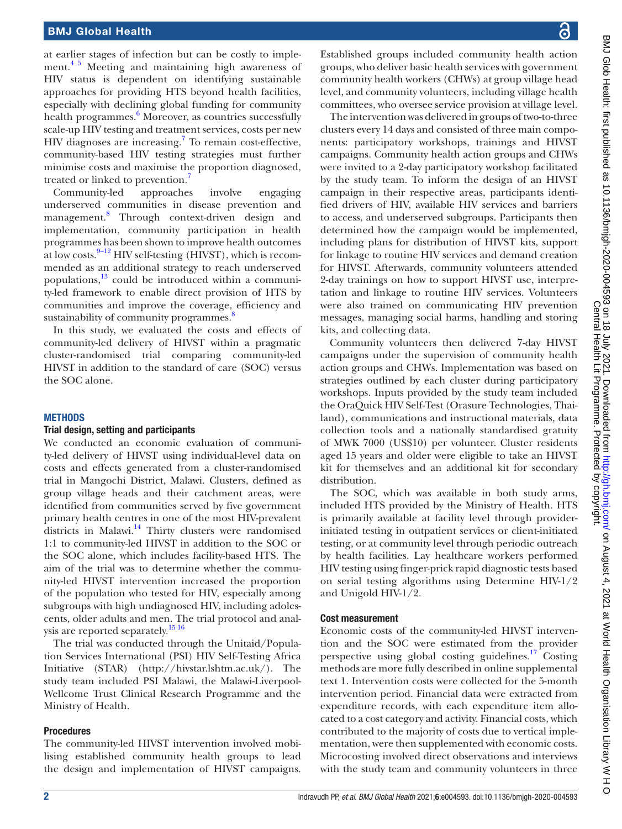at earlier stages of infection but can be costly to implement.<sup>45</sup> Meeting and maintaining high awareness of HIV status is dependent on identifying sustainable approaches for providing HTS beyond health facilities, especially with declining global funding for community health programmes.<sup>[6](#page-9-4)</sup> Moreover, as countries successfully scale-up HIV testing and treatment services, costs per new HIV diagnoses are increasing.<sup>7</sup> To remain cost-effective, community-based HIV testing strategies must further minimise costs and maximise the proportion diagnosed, treated or linked to prevention.<sup>[7](#page-9-5)</sup>

Community-led approaches involve engaging underserved communities in disease prevention and management.[8](#page-9-6) Through context-driven design and implementation, community participation in health programmes has been shown to improve health outcomes at low costs.  $9-12$  HIV self-testing (HIVST), which is recommended as an additional strategy to reach underserved populations, $\frac{13}{3}$  could be introduced within a community-led framework to enable direct provision of HTS by communities and improve the coverage, efficiency and sustainability of community programmes.<sup>[8](#page-9-6)</sup>

In this study, we evaluated the costs and effects of community-led delivery of HIVST within a pragmatic cluster-randomised trial comparing community-led HIVST in addition to the standard of care (SOC) versus the SOC alone.

#### **METHODS**

#### Trial design, setting and participants

We conducted an economic evaluation of community-led delivery of HIVST using individual-level data on costs and effects generated from a cluster-randomised trial in Mangochi District, Malawi. Clusters, defined as group village heads and their catchment areas, were identified from communities served by five government primary health centres in one of the most HIV-prevalent districts in Malawi.<sup>[14](#page-9-9)</sup> Thirty clusters were randomised 1:1 to community-led HIVST in addition to the SOC or the SOC alone, which includes facility-based HTS. The aim of the trial was to determine whether the community-led HIVST intervention increased the proportion of the population who tested for HIV, especially among subgroups with high undiagnosed HIV, including adolescents, older adults and men. The trial protocol and anal-ysis are reported separately.<sup>[15 16](#page-9-10)</sup>

The trial was conducted through the Unitaid/Population Services International (PSI) HIV Self-Testing Africa Initiative (STAR) [\(http://hivstar.lshtm.ac.uk/\)](http://hivstar.lshtm.ac.uk/). The study team included PSI Malawi, the Malawi-Liverpool-Wellcome Trust Clinical Research Programme and the Ministry of Health.

#### Procedures

The community-led HIVST intervention involved mobilising established community health groups to lead the design and implementation of HIVST campaigns.

Established groups included community health action groups, who deliver basic health services with government community health workers (CHWs) at group village head level, and community volunteers, including village health committees, who oversee service provision at village level.

The intervention was delivered in groups of two-to-three clusters every 14 days and consisted of three main components: participatory workshops, trainings and HIVST campaigns. Community health action groups and CHWs were invited to a 2-day participatory workshop facilitated by the study team. To inform the design of an HIVST campaign in their respective areas, participants identified drivers of HIV, available HIV services and barriers to access, and underserved subgroups. Participants then determined how the campaign would be implemented, including plans for distribution of HIVST kits, support for linkage to routine HIV services and demand creation for HIVST. Afterwards, community volunteers attended 2-day trainings on how to support HIVST use, interpretation and linkage to routine HIV services. Volunteers were also trained on communicating HIV prevention messages, managing social harms, handling and storing kits, and collecting data.

Community volunteers then delivered 7-day HIVST campaigns under the supervision of community health action groups and CHWs. Implementation was based on strategies outlined by each cluster during participatory workshops. Inputs provided by the study team included the OraQuick HIV Self-Test (Orasure Technologies, Thailand), communications and instructional materials, data collection tools and a nationally standardised gratuity of MWK 7000 (US\$10) per volunteer. Cluster residents aged 15 years and older were eligible to take an HIVST kit for themselves and an additional kit for secondary distribution.

The SOC, which was available in both study arms, included HTS provided by the Ministry of Health. HTS is primarily available at facility level through providerinitiated testing in outpatient services or client-initiated testing, or at community level through periodic outreach by health facilities. Lay healthcare workers performed HIV testing using finger-prick rapid diagnostic tests based on serial testing algorithms using Determine HIV-1/2 and Unigold HIV-1/2.

#### Cost measurement

Economic costs of the community-led HIVST intervention and the SOC were estimated from the provider perspective using global costing guidelines. $17$  Costing methods are more fully described in [online supplemental](https://dx.doi.org/10.1136/bmjgh-2020-004593) [text 1.](https://dx.doi.org/10.1136/bmjgh-2020-004593) Intervention costs were collected for the 5-month intervention period. Financial data were extracted from expenditure records, with each expenditure item allocated to a cost category and activity. Financial costs, which contributed to the majority of costs due to vertical implementation, were then supplemented with economic costs. Microcosting involved direct observations and interviews with the study team and community volunteers in three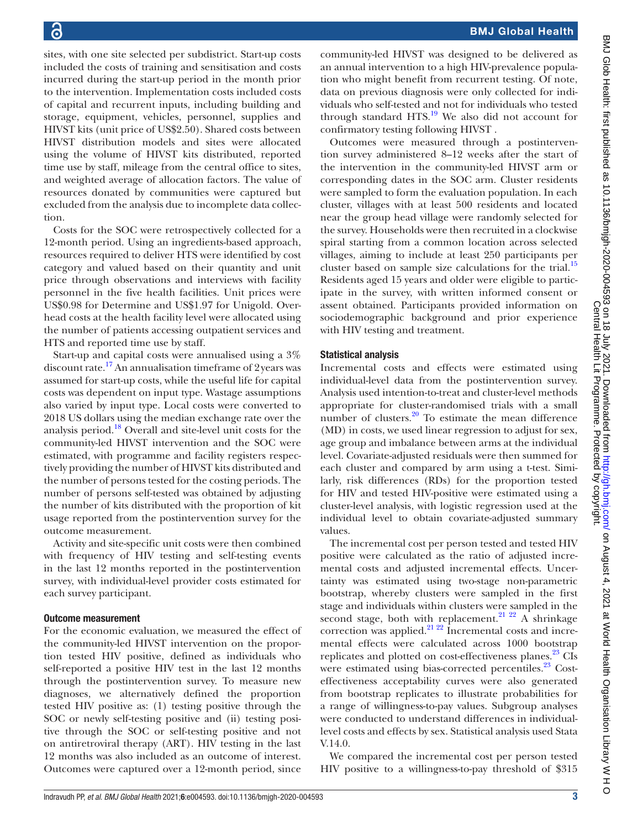sites, with one site selected per subdistrict. Start-up costs included the costs of training and sensitisation and costs incurred during the start-up period in the month prior to the intervention. Implementation costs included costs of capital and recurrent inputs, including building and storage, equipment, vehicles, personnel, supplies and HIVST kits (unit price of US\$2.50). Shared costs between HIVST distribution models and sites were allocated using the volume of HIVST kits distributed, reported time use by staff, mileage from the central office to sites,

and weighted average of allocation factors. The value of resources donated by communities were captured but excluded from the analysis due to incomplete data collection. Costs for the SOC were retrospectively collected for a 12-month period. Using an ingredients-based approach, resources required to deliver HTS were identified by cost category and valued based on their quantity and unit price through observations and interviews with facility personnel in the five health facilities. Unit prices were

US\$0.98 for Determine and US\$1.97 for Unigold. Overhead costs at the health facility level were allocated using the number of patients accessing outpatient services and HTS and reported time use by staff.

Start-up and capital costs were annualised using a 3% discount rate.<sup>17</sup> An annualisation timeframe of 2 years was assumed for start-up costs, while the useful life for capital costs was dependent on input type. Wastage assumptions also varied by input type. Local costs were converted to 2018 US dollars using the median exchange rate over the analysis period[.18](#page-9-12) Overall and site-level unit costs for the community-led HIVST intervention and the SOC were estimated, with programme and facility registers respectively providing the number of HIVST kits distributed and the number of persons tested for the costing periods. The number of persons self-tested was obtained by adjusting the number of kits distributed with the proportion of kit usage reported from the postintervention survey for the outcome measurement.

Activity and site-specific unit costs were then combined with frequency of HIV testing and self-testing events in the last 12 months reported in the postintervention survey, with individual-level provider costs estimated for each survey participant.

# Outcome measurement

For the economic evaluation, we measured the effect of the community-led HIVST intervention on the proportion tested HIV positive, defined as individuals who self-reported a positive HIV test in the last 12 months through the postintervention survey. To measure new diagnoses, we alternatively defined the proportion tested HIV positive as: (1) testing positive through the SOC or newly self-testing positive and (ii) testing positive through the SOC or self-testing positive and not on antiretroviral therapy (ART). HIV testing in the last 12 months was also included as an outcome of interest. Outcomes were captured over a 12-month period, since

community-led HIVST was designed to be delivered as an annual intervention to a high HIV-prevalence population who might benefit from recurrent testing. Of note, data on previous diagnosis were only collected for individuals who self-tested and not for individuals who tested through standard HTS. $^{19}$  We also did not account for confirmatory testing following HIVST .

Outcomes were measured through a postintervention survey administered 8–12 weeks after the start of the intervention in the community-led HIVST arm or corresponding dates in the SOC arm. Cluster residents were sampled to form the evaluation population. In each cluster, villages with at least 500 residents and located near the group head village were randomly selected for the survey. Households were then recruited in a clockwise spiral starting from a common location across selected villages, aiming to include at least 250 participants per cluster based on sample size calculations for the trial.<sup>[15](#page-9-10)</sup> Residents aged 15 years and older were eligible to participate in the survey, with written informed consent or assent obtained. Participants provided information on sociodemographic background and prior experience with HIV testing and treatment.

# Statistical analysis

Incremental costs and effects were estimated using individual-level data from the postintervention survey. Analysis used intention-to-treat and cluster-level methods appropriate for cluster-randomised trials with a small number of clusters. $20$  To estimate the mean difference (MD) in costs, we used linear regression to adjust for sex, age group and imbalance between arms at the individual level. Covariate-adjusted residuals were then summed for each cluster and compared by arm using a t-test. Similarly, risk differences (RDs) for the proportion tested for HIV and tested HIV-positive were estimated using a cluster-level analysis, with logistic regression used at the individual level to obtain covariate-adjusted summary values.

The incremental cost per person tested and tested HIV positive were calculated as the ratio of adjusted incremental costs and adjusted incremental effects. Uncertainty was estimated using two-stage non-parametric bootstrap, whereby clusters were sampled in the first stage and individuals within clusters were sampled in the second stage, both with replacement.<sup>[21 22](#page-9-15)</sup> A shrinkage correction was applied.<sup>21</sup> <sup>22</sup> Incremental costs and incremental effects were calculated across 1000 bootstrap replicates and plotted on cost-effectiveness planes.<sup>23</sup> CIs were estimated using bias-corrected percentiles.<sup>23</sup> Costeffectiveness acceptability curves were also generated from bootstrap replicates to illustrate probabilities for a range of willingness-to-pay values. Subgroup analyses were conducted to understand differences in individuallevel costs and effects by sex. Statistical analysis used Stata V.14.0.

We compared the incremental cost per person tested HIV positive to a willingness-to-pay threshold of \$315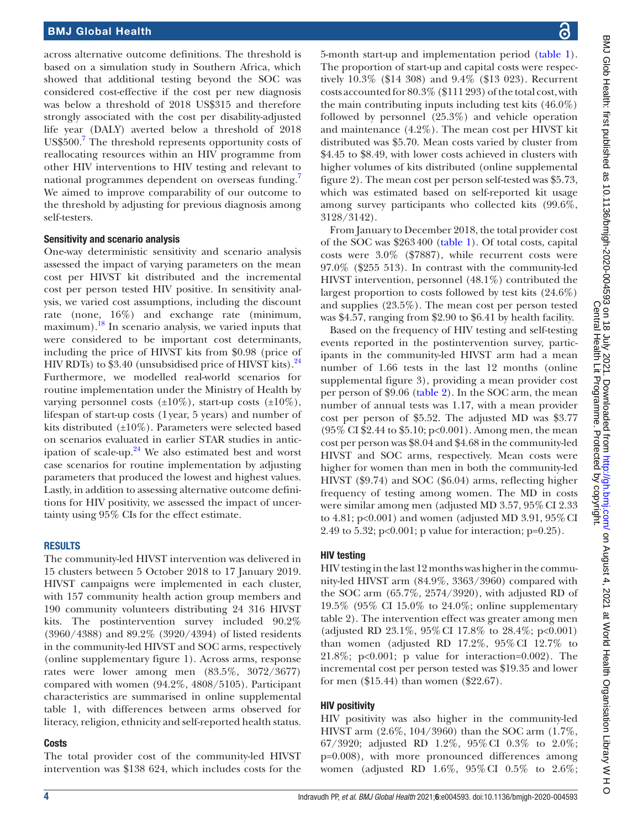across alternative outcome definitions. The threshold is based on a simulation study in Southern Africa, which showed that additional testing beyond the SOC was considered cost-effective if the cost per new diagnosis was below a threshold of 2018 US\$315 and therefore strongly associated with the cost per disability-adjusted life year (DALY) averted below a threshold of 2018 US\$500.<sup>[7](#page-9-5)</sup> The threshold represents opportunity costs of reallocating resources within an HIV programme from other HIV interventions to HIV testing and relevant to national programmes dependent on overseas funding. We aimed to improve comparability of our outcome to the threshold by adjusting for previous diagnosis among self-testers.

# Sensitivity and scenario analysis

One-way deterministic sensitivity and scenario analysis assessed the impact of varying parameters on the mean cost per HIVST kit distributed and the incremental cost per person tested HIV positive. In sensitivity analysis, we varied cost assumptions, including the discount rate (none, 16%) and exchange rate (minimum, maximum).<sup>[18](#page-9-12)</sup> In scenario analysis, we varied inputs that were considered to be important cost determinants, including the price of HIVST kits from \$0.98 (price of HIV RDTs) to  $$3.40$  (unsubsidised price of HIVST kits).<sup>[24](#page-9-17)</sup> Furthermore, we modelled real-world scenarios for routine implementation under the Ministry of Health by varying personnel costs  $(\pm 10\%)$ , start-up costs  $(\pm 10\%)$ , lifespan of start-up costs (1year, 5 years) and number of kits distributed (±10%). Parameters were selected based on scenarios evaluated in earlier STAR studies in anticipation of scale-up. $24$  We also estimated best and worst case scenarios for routine implementation by adjusting parameters that produced the lowest and highest values. Lastly, in addition to assessing alternative outcome definitions for HIV positivity, we assessed the impact of uncertainty using 95% CIs for the effect estimate.

#### **RESULTS**

The community-led HIVST intervention was delivered in 15 clusters between 5 October 2018 to 17 January 2019. HIVST campaigns were implemented in each cluster, with 157 community health action group members and 190 community volunteers distributing 24 316 HIVST kits. The postintervention survey included 90.2% (3960/4388) and 89.2% (3920/4394) of listed residents in the community-led HIVST and SOC arms, respectively (online supplementary figure 1). Across arms, response rates were lower among men (83.5%, 3072/3677) compared with women (94.2%, 4808/5105). Participant characteristics are summarised in [online supplemental](https://dx.doi.org/10.1136/bmjgh-2020-004593)  [table 1,](https://dx.doi.org/10.1136/bmjgh-2020-004593) with differences between arms observed for literacy, religion, ethnicity and self-reported health status.

# Costs

The total provider cost of the community-led HIVST intervention was \$138 624, which includes costs for the

5-month start-up and implementation period [\(table](#page-4-0) 1). The proportion of start-up and capital costs were respectively 10.3% (\$14 308) and 9.4% (\$13 023). Recurrent costs accounted for 80.3% (\$111 293) of the total cost, with the main contributing inputs including test kits (46.0%) followed by personnel (25.3%) and vehicle operation and maintenance (4.2%). The mean cost per HIVST kit distributed was \$5.70. Mean costs varied by cluster from \$4.45 to \$8.49, with lower costs achieved in clusters with higher volumes of kits distributed ([online supplemental](https://dx.doi.org/10.1136/bmjgh-2020-004593) [figure](https://dx.doi.org/10.1136/bmjgh-2020-004593) 2). The mean cost per person self-tested was \$5.73, which was estimated based on self-reported kit usage among survey participants who collected kits (99.6%, 3128/3142).

From January to December 2018, the total provider cost of the SOC was \$263400 ([table](#page-4-0) 1). Of total costs, capital costs were 3.0% (\$7887), while recurrent costs were 97.0% (\$255 513). In contrast with the community-led HIVST intervention, personnel (48.1%) contributed the largest proportion to costs followed by test kits (24.6%) and supplies (23.5%). The mean cost per person tested was \$4.57, ranging from \$2.90 to \$6.41 by health facility.

Based on the frequency of HIV testing and self-testing events reported in the postintervention survey, participants in the community-led HIVST arm had a mean number of 1.66 tests in the last 12 months [\(online](https://dx.doi.org/10.1136/bmjgh-2020-004593) [supplemental figure](https://dx.doi.org/10.1136/bmjgh-2020-004593) 3), providing a mean provider cost per person of \$9.06 ([table](#page-5-0) 2). In the SOC arm, the mean number of annual tests was 1.17, with a mean provider cost per person of \$5.52. The adjusted MD was \$3.77 (95% CI \$2.44 to \$5.10; p<0.001). Among men, the mean cost per person was \$8.04 and \$4.68 in the community-led HIVST and SOC arms, respectively. Mean costs were higher for women than men in both the community-led HIVST (\$9.74) and SOC (\$6.04) arms, reflecting higher frequency of testing among women. The MD in costs were similar among men (adjusted MD 3.57, 95%CI 2.33 to 4.81;  $p<0.001$ ) and women (adjusted MD 3.91,  $95\%$  CI 2.49 to 5.32; p<0.001; p value for interaction; p=0.25).

# HIV testing

HIV testing in the last 12 months was higher in the community-led HIVST arm (84.9%, 3363/3960) compared with the SOC arm (65.7%, 2574/3920), with adjusted RD of 19.5% (95% CI 15.0% to 24.0%; [online supplementary](https://dx.doi.org/10.1136/bmjgh-2020-004593) [table 2](https://dx.doi.org/10.1136/bmjgh-2020-004593)). The intervention effect was greater among men (adjusted RD 23.1%, 95%CI 17.8% to 28.4%; p<0.001) than women (adjusted RD 17.2%, 95%CI 12.7% to 21.8%; p<0.001; p value for interaction=0.002). The incremental cost per person tested was \$19.35 and lower for men (\$15.44) than women (\$22.67).

#### HIV positivity

HIV positivity was also higher in the community-led HIVST arm (2.6%, 104/3960) than the SOC arm (1.7%, 67/3920; adjusted RD 1.2%, 95%CI 0.3% to 2.0%; p=0.008), with more pronounced differences among women (adjusted RD 1.6%, 95%CI 0.5% to 2.6%;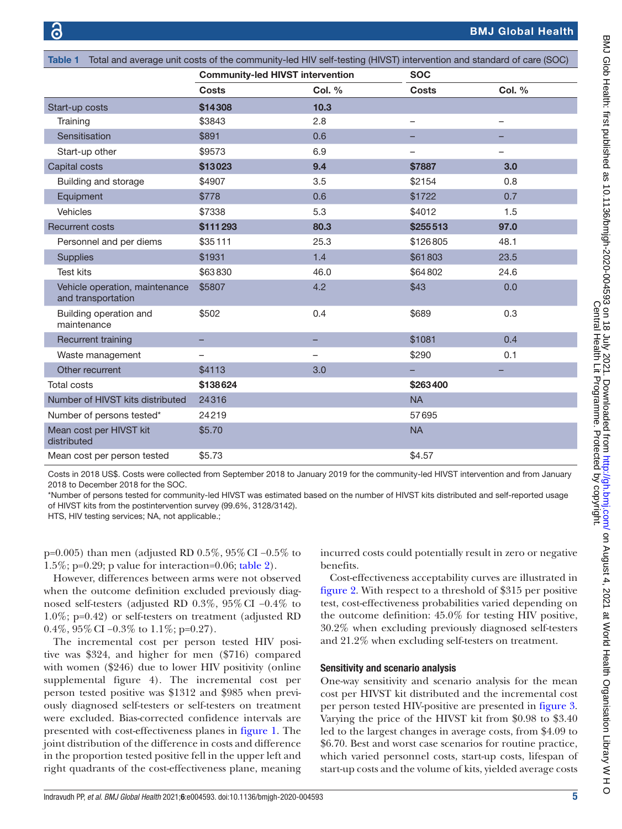<span id="page-4-0"></span>

| Table 1 Total and average unit costs of the community-led HIV self-testing (HIVST) intervention and standard of care (SOC) |                                         |                          |                          |                          |  |  |  |
|----------------------------------------------------------------------------------------------------------------------------|-----------------------------------------|--------------------------|--------------------------|--------------------------|--|--|--|
|                                                                                                                            | <b>Community-led HIVST intervention</b> |                          | <b>SOC</b>               |                          |  |  |  |
|                                                                                                                            | <b>Costs</b>                            | <b>Col. %</b>            | <b>Costs</b>             | <b>Col. %</b>            |  |  |  |
| Start-up costs                                                                                                             | \$14308                                 | 10.3                     |                          |                          |  |  |  |
| Training                                                                                                                   | \$3843                                  | 2.8                      | $\qquad \qquad -$        | $\overline{\phantom{0}}$ |  |  |  |
| Sensitisation                                                                                                              | \$891                                   | 0.6                      |                          |                          |  |  |  |
| Start-up other                                                                                                             | \$9573                                  | 6.9                      | $\overline{\phantom{0}}$ | $\overline{\phantom{0}}$ |  |  |  |
| Capital costs                                                                                                              | \$13023                                 | 9.4                      | \$7887                   | 3.0                      |  |  |  |
| Building and storage                                                                                                       | \$4907                                  | 3.5                      | \$2154                   | 0.8                      |  |  |  |
| Equipment                                                                                                                  | \$778                                   | 0.6                      | \$1722                   | 0.7                      |  |  |  |
| <b>Vehicles</b>                                                                                                            | \$7338                                  | 5.3                      | \$4012                   | 1.5                      |  |  |  |
| <b>Recurrent costs</b>                                                                                                     | \$111293                                | 80.3                     | \$255513                 | 97.0                     |  |  |  |
| Personnel and per diems                                                                                                    | \$35111                                 | 25.3                     | \$126805                 | 48.1                     |  |  |  |
| <b>Supplies</b>                                                                                                            | \$1931                                  | 1.4                      | \$61803                  | 23.5                     |  |  |  |
| <b>Test kits</b>                                                                                                           | \$63830                                 | 46.0                     | \$64802                  | 24.6                     |  |  |  |
| Vehicle operation, maintenance<br>and transportation                                                                       | \$5807                                  | 4.2                      | \$43                     | 0.0                      |  |  |  |
| Building operation and<br>maintenance                                                                                      | \$502                                   | 0.4                      | \$689                    | 0.3                      |  |  |  |
| Recurrent training                                                                                                         |                                         |                          | \$1081                   | 0.4                      |  |  |  |
| Waste management                                                                                                           | —                                       | $\overline{\phantom{0}}$ | \$290                    | 0.1                      |  |  |  |
| Other recurrent                                                                                                            | \$4113                                  | 3.0                      |                          |                          |  |  |  |
| <b>Total costs</b>                                                                                                         | \$138624                                |                          | \$263400                 |                          |  |  |  |
| Number of HIVST kits distributed                                                                                           | 24316                                   |                          | <b>NA</b>                |                          |  |  |  |
| Number of persons tested*                                                                                                  | 24219                                   |                          | 57695                    |                          |  |  |  |
| Mean cost per HIVST kit<br>distributed                                                                                     | \$5.70                                  |                          | <b>NA</b>                |                          |  |  |  |
| Mean cost per person tested                                                                                                | \$5.73                                  |                          | \$4.57                   |                          |  |  |  |

Costs in 2018 US\$. Costs were collected from September 2018 to January 2019 for the community-led HIVST intervention and from January 2018 to December 2018 for the SOC.

\*Number of persons tested for community-led HIVST was estimated based on the number of HIVST kits distributed and self-reported usage of HIVST kits from the postintervention survey (99.6%, 3128/3142).

HTS, HIV testing services; NA, not applicable.;

p=0.005) than men (adjusted RD 0.5%, 95%CI −0.5% to 1.5%; p=0.29; p value for interaction=0.06; [table](#page-5-0) 2).

However, differences between arms were not observed when the outcome definition excluded previously diagnosed self-testers (adjusted RD 0.3%, 95%CI −0.4% to 1.0%; p=0.42) or self-testers on treatment (adjusted RD 0.4%,  $95\%$  CI  $-0.3\%$  to  $1.1\%$ ; p=0.27).

The incremental cost per person tested HIV positive was \$324, and higher for men (\$716) compared with women (\$246) due to lower HIV positivity [\(online](https://dx.doi.org/10.1136/bmjgh-2020-004593) [supplemental figure](https://dx.doi.org/10.1136/bmjgh-2020-004593) 4). The incremental cost per person tested positive was \$1312 and \$985 when previously diagnosed self-testers or self-testers on treatment were excluded. Bias-corrected confidence intervals are presented with cost-effectiveness planes in [figure](#page-6-0) 1. The joint distribution of the difference in costs and difference in the proportion tested positive fell in the upper left and right quadrants of the cost-effectiveness plane, meaning

incurred costs could potentially result in zero or negative benefits.

Cost-effectiveness acceptability curves are illustrated in [figure](#page-6-1) 2. With respect to a threshold of \$315 per positive test, cost-effectiveness probabilities varied depending on the outcome definition: 45.0% for testing HIV positive, 30.2% when excluding previously diagnosed self-testers and 21.2% when excluding self-testers on treatment.

#### Sensitivity and scenario analysis

One-way sensitivity and scenario analysis for the mean cost per HIVST kit distributed and the incremental cost per person tested HIV-positive are presented in [figure](#page-7-0) 3. Varying the price of the HIVST kit from \$0.98 to \$3.40 led to the largest changes in average costs, from \$4.09 to \$6.70. Best and worst case scenarios for routine practice, which varied personnel costs, start-up costs, lifespan of start-up costs and the volume of kits, yielded average costs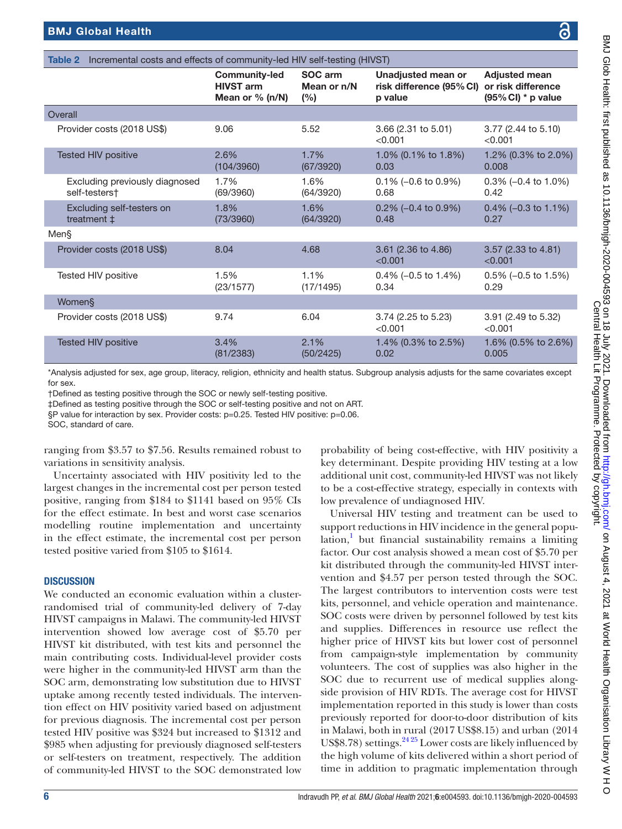| Glob Health: f                                                                                                                                                                                                                                                                                                                                                                                                                                                                                                                                   |
|--------------------------------------------------------------------------------------------------------------------------------------------------------------------------------------------------------------------------------------------------------------------------------------------------------------------------------------------------------------------------------------------------------------------------------------------------------------------------------------------------------------------------------------------------|
|                                                                                                                                                                                                                                                                                                                                                                                                                                                                                                                                                  |
|                                                                                                                                                                                                                                                                                                                                                                                                                                                                                                                                                  |
| irst published as                                                                                                                                                                                                                                                                                                                                                                                                                                                                                                                                |
|                                                                                                                                                                                                                                                                                                                                                                                                                                                                                                                                                  |
|                                                                                                                                                                                                                                                                                                                                                                                                                                                                                                                                                  |
|                                                                                                                                                                                                                                                                                                                                                                                                                                                                                                                                                  |
|                                                                                                                                                                                                                                                                                                                                                                                                                                                                                                                                                  |
|                                                                                                                                                                                                                                                                                                                                                                                                                                                                                                                                                  |
|                                                                                                                                                                                                                                                                                                                                                                                                                                                                                                                                                  |
|                                                                                                                                                                                                                                                                                                                                                                                                                                                                                                                                                  |
| $\mathbb{F}$                                                                                                                                                                                                                                                                                                                                                                                                                                                                                                                                     |
| Ō                                                                                                                                                                                                                                                                                                                                                                                                                                                                                                                                                |
|                                                                                                                                                                                                                                                                                                                                                                                                                                                                                                                                                  |
| <b>Adjusted mean</b><br>or risk difference<br>(95% CI) * p value<br>3.77 (2.44 to 5.10)<br>1.2% (0.3% to 2.0%)<br>0.3% (-0.4 to 1.0%)<br>$0.4\%$ (-0.3 to 1.1%)<br>3.57 (2.33 to 4.81)<br>0.5% (-0.5 to 1.5%)<br>3.91 (2.49 to 5.32)<br>1.6% (0.5% to 2.6%)<br>same covariates except<br>with HIV positivity a<br>g HIV testing at a low<br>HIVST was not likely<br>cially in contexts with<br>ment can be used to<br>e in the general popu-<br>y remains a limiting<br>nean cost of \$5.70 per<br>inity-led HIVST inter-<br>ed through the SOC. |

|                                                   | <b>Community-led</b><br><b>HIVST arm</b><br>Mean or $% (n/N)$ | SOC arm<br>Mean or n/N<br>(%) | Unadjusted mean or<br>risk difference (95% CI)<br>p value | <b>Adjusted mean</b><br>or risk difference<br>$(95\% \text{ Cl})$ * p value |
|---------------------------------------------------|---------------------------------------------------------------|-------------------------------|-----------------------------------------------------------|-----------------------------------------------------------------------------|
| Overall                                           |                                                               |                               |                                                           |                                                                             |
| Provider costs (2018 US\$)                        | 9.06                                                          | 5.52                          | 3.66 (2.31 to 5.01)<br>< 0.001                            | 3.77 (2.44 to 5.10)<br>< 0.001                                              |
| <b>Tested HIV positive</b>                        | 2.6%<br>(104/3960)                                            | 1.7%<br>(67/3920)             | 1.0% (0.1% to 1.8%)<br>0.03                               | 1.2% (0.3% to 2.0%)<br>0.008                                                |
| Excluding previously diagnosed<br>self-testers†   | 1.7%<br>(69/3960)                                             | 1.6%<br>(64/3920)             | $0.1\%$ (-0.6 to 0.9%)<br>0.68                            | $0.3\%$ (-0.4 to 1.0%)<br>0.42                                              |
| Excluding self-testers on<br>treatment $\ddagger$ | 1.8%<br>(73/3960)                                             | 1.6%<br>(64/3920)             | $0.2\%$ (-0.4 to 0.9%)<br>0.48                            | $0.4\%$ (-0.3 to 1.1%)<br>0.27                                              |
| Men§                                              |                                                               |                               |                                                           |                                                                             |
| Provider costs (2018 US\$)                        | 8.04                                                          | 4.68                          | 3.61 (2.36 to 4.86)<br>< 0.001                            | 3.57 (2.33 to 4.81)<br>< 0.001                                              |
| Tested HIV positive                               | 1.5%<br>(23/1577)                                             | 1.1%<br>(17/1495)             | $0.4\%$ (-0.5 to 1.4%)<br>0.34                            | $0.5\%$ (-0.5 to 1.5%)<br>0.29                                              |
| Women§                                            |                                                               |                               |                                                           |                                                                             |
| Provider costs (2018 US\$)                        | 9.74                                                          | 6.04                          | 3.74 (2.25 to 5.23)<br>< 0.001                            | 3.91 (2.49 to 5.32)<br>< 0.001                                              |
| <b>Tested HIV positive</b>                        | 3.4%<br>(81/2383)                                             | 2.1%<br>(50/2425)             | 1.4% (0.3% to 2.5%)<br>0.02                               | 1.6% (0.5% to 2.6%)<br>0.005                                                |
|                                                   |                                                               |                               |                                                           |                                                                             |

\*Analysis adjusted for sex, age group, literacy, religion, ethnicity and health status. Subgroup analysis adjusts for the for sex.

†Defined as testing positive through the SOC or newly self-testing positive.

‡Defined as testing positive through the SOC or self-testing positive and not on ART.

<span id="page-5-0"></span>Table 2 Incremental costs and effects of community-led HIV self-testing (HIVST)

§P value for interaction by sex. Provider costs: p=0.25. Tested HIV positive: p=0.06.

SOC, standard of care.

ranging from \$3.57 to \$7.56. Results remained robust to variations in sensitivity analysis.

Uncertainty associated with HIV positivity led to the largest changes in the incremental cost per person tested positive, ranging from \$184 to \$1141 based on 95% CIs for the effect estimate. In best and worst case scenarios modelling routine implementation and uncertainty in the effect estimate, the incremental cost per person tested positive varied from \$105 to \$1614.

# **DISCUSSION**

We conducted an economic evaluation within a clusterrandomised trial of community-led delivery of 7-day HIVST campaigns in Malawi. The community-led HIVST intervention showed low average cost of \$5.70 per HIVST kit distributed, with test kits and personnel the main contributing costs. Individual-level provider costs were higher in the community-led HIVST arm than the SOC arm, demonstrating low substitution due to HIVST uptake among recently tested individuals. The intervention effect on HIV positivity varied based on adjustment for previous diagnosis. The incremental cost per person tested HIV positive was \$324 but increased to \$1312 and \$985 when adjusting for previously diagnosed self-testers or self-testers on treatment, respectively. The addition of community-led HIVST to the SOC demonstrated low

probability of being cost-effective, key determinant. Despite providing additional unit cost, community-led to be a cost-effective strategy, especially low prevalence of undiagnosed HIV.

Universal HIV testing and treatr support reductions in HIV incidence lation,<sup>[1](#page-9-0)</sup> but financial sustainability remains a limiting factor. Our cost analysis showed a m kit distributed through the communityvention and  $$4.57$  per person tested The largest contributors to intervention costs were test kits, personnel, and vehicle operation and maintenance. SOC costs were driven by personnel followed by test kits and supplies. Differences in resource use reflect the higher price of HIVST kits but lower cost of personnel from campaign-style implementation by community volunteers. The cost of supplies was also higher in the SOC due to recurrent use of medical supplies alongside provision of HIV RDTs. The average cost for HIVST implementation reported in this study is lower than costs previously reported for door-to-door distribution of kits in Malawi, both in rural (2017 US\$8.15) and urban (2014 US\$8.78) settings. $2425$  Lower costs are likely influenced by the high volume of kits delivered within a short period of time in addition to pragmatic implementation through

 $\circ$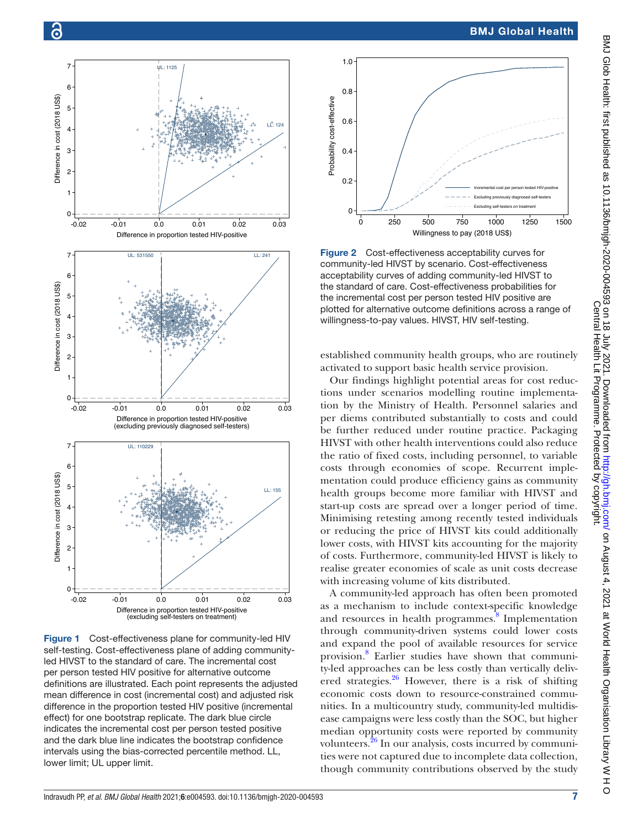

<span id="page-6-0"></span>Figure 1 Cost-effectiveness plane for community-led HIV self-testing. Cost-effectiveness plane of adding communityled HIVST to the standard of care. The incremental cost per person tested HIV positive for alternative outcome definitions are illustrated. Each point represents the adjusted mean difference in cost (incremental cost) and adjusted risk difference in the proportion tested HIV positive (incremental effect) for one bootstrap replicate. The dark blue circle indicates the incremental cost per person tested positive and the dark blue line indicates the bootstrap confidence intervals using the bias-corrected percentile method. LL, lower limit; UL upper limit.

# BMJ Global Health





<span id="page-6-1"></span>Figure 2 Cost-effectiveness acceptability curves for community-led HIVST by scenario. Cost-effectiveness acceptability curves of adding community-led HIVST to the standard of care. Cost-effectiveness probabilities for the incremental cost per person tested HIV positive are plotted for alternative outcome definitions across a range of willingness-to-pay values. HIVST, HIV self-testing.

established community health groups, who are routinely activated to support basic health service provision.

Our findings highlight potential areas for cost reductions under scenarios modelling routine implementation by the Ministry of Health. Personnel salaries and per diems contributed substantially to costs and could be further reduced under routine practice. Packaging HIVST with other health interventions could also reduce the ratio of fixed costs, including personnel, to variable costs through economies of scope. Recurrent implementation could produce efficiency gains as community health groups become more familiar with HIVST and start-up costs are spread over a longer period of time. Minimising retesting among recently tested individuals or reducing the price of HIVST kits could additionally lower costs, with HIVST kits accounting for the majority of costs. Furthermore, community-led HIVST is likely to realise greater economies of scale as unit costs decrease with increasing volume of kits distributed.

A community-led approach has often been promoted as a mechanism to include context-specific knowledge and resources in health programmes.<sup>[8](#page-9-6)</sup> Implementation through community-driven systems could lower costs and expand the pool of available resources for service provision.<sup>[8](#page-9-6)</sup> Earlier studies have shown that community-led approaches can be less costly than vertically delivered strategies. $26$  However, there is a risk of shifting economic costs down to resource-constrained communities. In a multicountry study, community-led multidisease campaigns were less costly than the SOC, but higher median opportunity costs were reported by community volunteers. $^{26}$  In our analysis, costs incurred by communities were not captured due to incomplete data collection, though community contributions observed by the study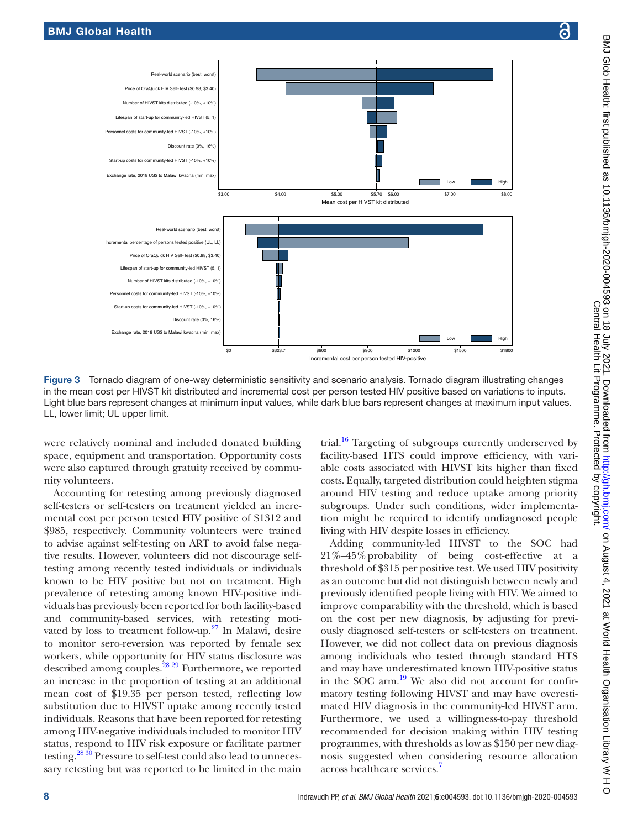

<span id="page-7-0"></span>Figure 3 Tornado diagram of one-way deterministic sensitivity and scenario analysis. Tornado diagram illustrating changes in the mean cost per HIVST kit distributed and incremental cost per person tested HIV positive based on variations to inputs. Light blue bars represent changes at minimum input values, while dark blue bars represent changes at maximum input values. LL, lower limit; UL upper limit.

were relatively nominal and included donated building space, equipment and transportation. Opportunity costs were also captured through gratuity received by community volunteers.

Accounting for retesting among previously diagnosed self-testers or self-testers on treatment yielded an incremental cost per person tested HIV positive of \$1312 and \$985, respectively. Community volunteers were trained to advise against self-testing on ART to avoid false negative results. However, volunteers did not discourage selftesting among recently tested individuals or individuals known to be HIV positive but not on treatment. High prevalence of retesting among known HIV-positive individuals has previously been reported for both facility-based and community-based services, with retesting motivated by loss to treatment follow-up. $27$  In Malawi, desire to monitor sero-reversion was reported by female sex workers, while opportunity for HIV status disclosure was described among couples.[28 29](#page-9-20) Furthermore, we reported an increase in the proportion of testing at an additional mean cost of \$19.35 per person tested, reflecting low substitution due to HIVST uptake among recently tested individuals. Reasons that have been reported for retesting among HIV-negative individuals included to monitor HIV status, respond to HIV risk exposure or facilitate partner testing[.28 30](#page-9-20) Pressure to self-test could also lead to unnecessary retesting but was reported to be limited in the main

trial.<sup>16</sup> Targeting of subgroups currently underserved by facility-based HTS could improve efficiency, with variable costs associated with HIVST kits higher than fixed costs. Equally, targeted distribution could heighten stigma around HIV testing and reduce uptake among priority subgroups. Under such conditions, wider implementation might be required to identify undiagnosed people living with HIV despite losses in efficiency.

Adding community-led HIVST to the SOC had 21%–45%probability of being cost-effective at a threshold of \$315 per positive test. We used HIV positivity as an outcome but did not distinguish between newly and previously identified people living with HIV. We aimed to improve comparability with the threshold, which is based on the cost per new diagnosis, by adjusting for previously diagnosed self-testers or self-testers on treatment. However, we did not collect data on previous diagnosis among individuals who tested through standard HTS and may have underestimated known HIV-positive status in the SOC arm. $^{19}$  We also did not account for confirmatory testing following HIVST and may have overestimated HIV diagnosis in the community-led HIVST arm. Furthermore, we used a willingness-to-pay threshold recommended for decision making within HIV testing programmes, with thresholds as low as \$150 per new diagnosis suggested when considering resource allocation across healthcare services[.7](#page-9-5)

 $\circ$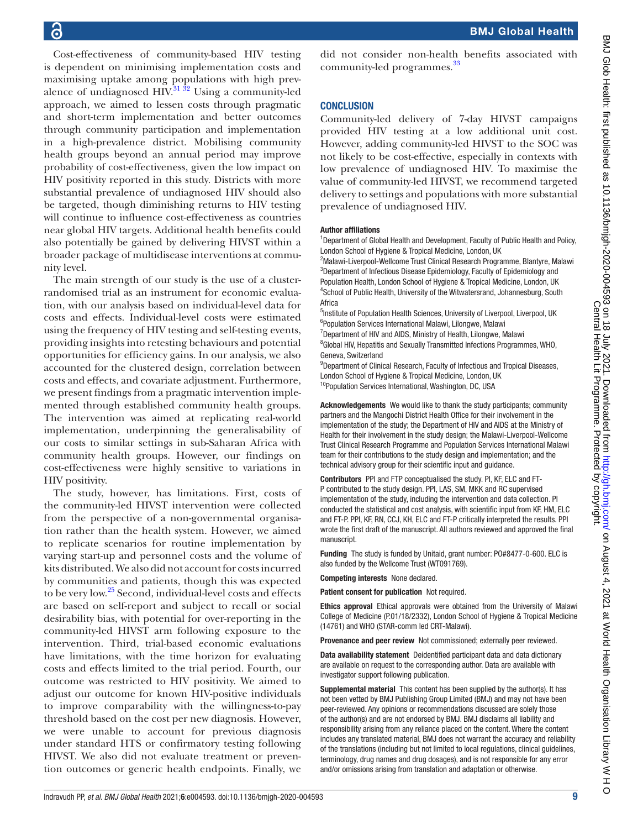Cost-effectiveness of community-based HIV testing is dependent on minimising implementation costs and maximising uptake among populations with high prevalence of undiagnosed  $HIV$ .<sup>[31 32](#page-9-22)</sup> Using a community-led approach, we aimed to lessen costs through pragmatic and short-term implementation and better outcomes through community participation and implementation in a high-prevalence district. Mobilising community health groups beyond an annual period may improve probability of cost-effectiveness, given the low impact on HIV positivity reported in this study. Districts with more substantial prevalence of undiagnosed HIV should also be targeted, though diminishing returns to HIV testing will continue to influence cost-effectiveness as countries near global HIV targets. Additional health benefits could also potentially be gained by delivering HIVST within a broader package of multidisease interventions at community level.

The main strength of our study is the use of a clusterrandomised trial as an instrument for economic evaluation, with our analysis based on individual-level data for costs and effects. Individual-level costs were estimated using the frequency of HIV testing and self-testing events, providing insights into retesting behaviours and potential opportunities for efficiency gains. In our analysis, we also accounted for the clustered design, correlation between costs and effects, and covariate adjustment. Furthermore, we present findings from a pragmatic intervention implemented through established community health groups. The intervention was aimed at replicating real-world implementation, underpinning the generalisability of our costs to similar settings in sub-Saharan Africa with community health groups. However, our findings on cost-effectiveness were highly sensitive to variations in HIV positivity.

The study, however, has limitations. First, costs of the community-led HIVST intervention were collected from the perspective of a non-governmental organisation rather than the health system. However, we aimed to replicate scenarios for routine implementation by varying start-up and personnel costs and the volume of kits distributed. We also did not account for costs incurred by communities and patients, though this was expected to be very low.<sup>25</sup> Second, individual-level costs and effects are based on self-report and subject to recall or social desirability bias, with potential for over-reporting in the community-led HIVST arm following exposure to the intervention. Third, trial-based economic evaluations have limitations, with the time horizon for evaluating costs and effects limited to the trial period. Fourth, our outcome was restricted to HIV positivity. We aimed to adjust our outcome for known HIV-positive individuals to improve comparability with the willingness-to-pay threshold based on the cost per new diagnosis. However, we were unable to account for previous diagnosis under standard HTS or confirmatory testing following HIVST. We also did not evaluate treatment or prevention outcomes or generic health endpoints. Finally, we

did not consider non-health benefits associated with community-led programmes.<sup>[33](#page-9-24)</sup>

# **CONCLUSION**

Community-led delivery of 7-day HIVST campaigns provided HIV testing at a low additional unit cost. However, adding community-led HIVST to the SOC was not likely to be cost-effective, especially in contexts with low prevalence of undiagnosed HIV. To maximise the value of community-led HIVST, we recommend targeted delivery to settings and populations with more substantial prevalence of undiagnosed HIV.

#### Author affiliations

<sup>1</sup>Department of Global Health and Development, Faculty of Public Health and Policy, London School of Hygiene & Tropical Medicine, London, UK

<sup>2</sup>Malawi-Liverpool-Wellcome Trust Clinical Research Programme, Blantyre, Malawi <sup>3</sup>Department of Infectious Disease Epidemiology, Faculty of Epidemiology and Population Health, London School of Hygiene & Tropical Medicine, London, UK 4 School of Public Health, University of the Witwatersrand, Johannesburg, South **Africa** 

<sup>5</sup>Institute of Population Health Sciences, University of Liverpool, Liverpool, UK 6 Population Services International Malawi, Lilongwe, Malawi

<sup>7</sup>Department of HIV and AIDS, Ministry of Health, Lilongwe, Malawi

<sup>8</sup>Global HIV, Hepatitis and Sexually Transmitted Infections Programmes, WHO, Geneva, Switzerland

<sup>9</sup>Department of Clinical Research, Faculty of Infectious and Tropical Diseases, London School of Hygiene & Tropical Medicine, London, UK <sup>10</sup>Population Services International, Washington, DC, USA

Acknowledgements We would like to thank the study participants; community partners and the Mangochi District Health Office for their involvement in the implementation of the study; the Department of HIV and AIDS at the Ministry of Health for their involvement in the study design; the Malawi-Liverpool-Wellcome Trust Clinical Research Programme and Population Services International Malawi team for their contributions to the study design and implementation; and the technical advisory group for their scientific input and guidance.

Contributors PPI and FTP conceptualised the study. PI, KF, ELC and FT-P contributed to the study design. PPI, LAS, SM, MKK and RC supervised implementation of the study, including the intervention and data collection. PI conducted the statistical and cost analysis, with scientific input from KF, HM, ELC and FT-P. PPI, KF, RN, CCJ, KH, ELC and FT-P critically interpreted the results. PPI wrote the first draft of the manuscript. All authors reviewed and approved the final manuscript.

Funding The study is funded by Unitaid, grant number: PO#8477-0-600. ELC is also funded by the Wellcome Trust (WT091769).

Competing interests None declared.

Patient consent for publication Not required.

Ethics approval Ethical approvals were obtained from the University of Malawi College of Medicine (P.01/18/2332), London School of Hygiene & Tropical Medicine (14761) and WHO (STAR-comm led CRT-Malawi).

Provenance and peer review Not commissioned; externally peer reviewed.

Data availability statement Deidentified participant data and data dictionary are available on request to the corresponding author. Data are available with investigator support following publication.

Supplemental material This content has been supplied by the author(s). It has not been vetted by BMJ Publishing Group Limited (BMJ) and may not have been peer-reviewed. Any opinions or recommendations discussed are solely those of the author(s) and are not endorsed by BMJ. BMJ disclaims all liability and responsibility arising from any reliance placed on the content. Where the content includes any translated material, BMJ does not warrant the accuracy and reliability of the translations (including but not limited to local regulations, clinical guidelines, terminology, drug names and drug dosages), and is not responsible for any error and/or omissions arising from translation and adaptation or otherwise.